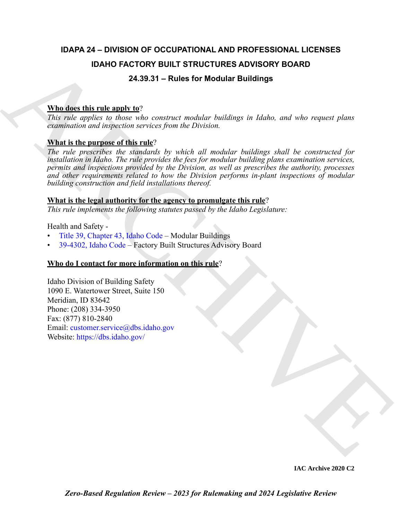# **IDAPA 24 – DIVISION OF OCCUPATIONAL AND PROFESSIONAL LICENSES IDAHO FACTORY BUILT STRUCTURES ADVISORY BOARD**

# **24.39.31 – Rules for Modular Buildings**

# **Who does this rule apply to**?

*This rule applies to those who construct modular buildings in Idaho, and who request plans examination and inspection services from the Division.*

# **What is the purpose of this rule**?

**IDAHO FA[C](https://legislature.idaho.gov/statutesrules/idstat/Title39/T39CH43/)TORY BUILT STRUCTURES ADVISORY BOARD**<br>
24.39.31 – Rules for Modular Buildings<br>
This relation that the median control of the construct metallings in Idaho, and who request plans<br>
acquision and in significant vert *The rule prescribes the standards by which all modular buildings shall be constructed for installation in Idaho. The rule provides the fees for modular building plans examination services, permits and inspections provided by the Division, as well as prescribes the authority, processes and other requirements related to how the Division performs in-plant inspections of modular building construction and field installations thereof.*

# **What is the legal authority for the agency to promulgate this rule**?

*This rule implements the following statutes passed by the Idaho Legislature:*

Health and Safety -

- Title 39, Chapter 43, Idaho Code Modular Buildings
- 39-4302, Idaho Code Factory Built Structures Advisory Board

# **Who do I contact for more information on this rule**?

Idaho Division of Building Safety 1090 E. Watertower Street, Suite 150 Meridian, ID 83642 Phone: (208) 334-3950 Fax: (877) 810-2840 Email: customer.service@dbs.idaho.gov Website: https://dbs.idaho.gov/

**IAC Archive 2020 C2**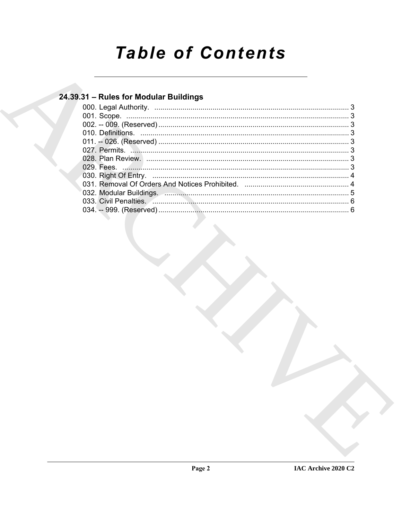# **Table of Contents**

# 24.39.31 - Rules for Modular Buildings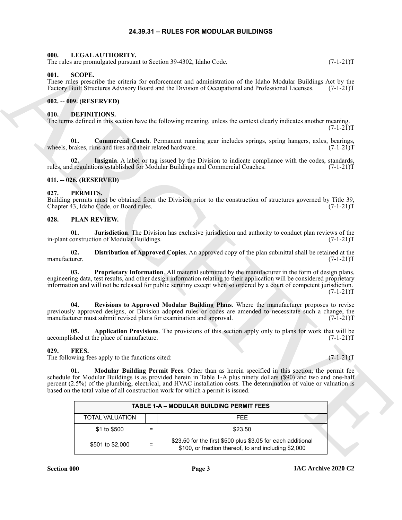#### **24.39.31 – RULES FOR MODULAR BUILDINGS**

#### <span id="page-2-14"></span><span id="page-2-1"></span><span id="page-2-0"></span>**000. LEGAL AUTHORITY.**

The rules are promulgated pursuant to Section 39-4302, Idaho Code. (7-1-21)T

#### <span id="page-2-22"></span><span id="page-2-2"></span>**001. SCOPE.**

#### <span id="page-2-3"></span>**002. -- 009. (RESERVED)**

#### <span id="page-2-10"></span><span id="page-2-9"></span><span id="page-2-4"></span>**010. DEFINITIONS.**

#### <span id="page-2-11"></span><span id="page-2-5"></span>**011. -- 026. (RESERVED)**

#### <span id="page-2-15"></span><span id="page-2-6"></span>**027. PERMITS.**

#### <span id="page-2-20"></span><span id="page-2-19"></span><span id="page-2-18"></span><span id="page-2-16"></span><span id="page-2-7"></span>**028. PLAN REVIEW.**

#### <span id="page-2-21"></span><span id="page-2-17"></span><span id="page-2-13"></span><span id="page-2-12"></span><span id="page-2-8"></span>**029. FEES.**

| The rules are promulgated pursuant to Section 39-4302, Idaho Code.                                                                                                                                                                                                                                                                                                                                                                 | $(7-1-21)T$ |
|------------------------------------------------------------------------------------------------------------------------------------------------------------------------------------------------------------------------------------------------------------------------------------------------------------------------------------------------------------------------------------------------------------------------------------|-------------|
| 001.<br><b>SCOPE.</b><br>These rules prescribe the criteria for enforcement and administration of the Idaho Modular Buildings Act by the<br>Factory Built Structures Advisory Board and the Division of Occupational and Professional Licenses.                                                                                                                                                                                    | $(7-1-21)T$ |
| 002. -- 009. (RESERVED)                                                                                                                                                                                                                                                                                                                                                                                                            |             |
| <b>DEFINITIONS.</b><br>010.<br>The terms defined in this section have the following meaning, unless the context clearly indicates another meaning.                                                                                                                                                                                                                                                                                 | $(7-1-21)T$ |
| 01.<br><b>Commercial Coach</b> . Permanent running gear includes springs, spring hangers, axles, bearings,<br>wheels, brakes, rims and tires and their related hardware.                                                                                                                                                                                                                                                           | $(7-1-21)T$ |
| 02.<br>Insignia. A label or tag issued by the Division to indicate compliance with the codes, standards,<br>rules, and regulations established for Modular Buildings and Commercial Coaches.                                                                                                                                                                                                                                       | $(7-1-21)T$ |
| 011. -- 026. (RESERVED)                                                                                                                                                                                                                                                                                                                                                                                                            |             |
| 027.<br>PERMITS.<br>Building permits must be obtained from the Division prior to the construction of structures governed by Title 39,<br>Chapter 43, Idaho Code, or Board rules.                                                                                                                                                                                                                                                   | $(7-1-21)T$ |
| 028.<br>PLAN REVIEW.                                                                                                                                                                                                                                                                                                                                                                                                               |             |
| Jurisdiction. The Division has exclusive jurisdiction and authority to conduct plan reviews of the<br>01.<br>in-plant construction of Modular Buildings.                                                                                                                                                                                                                                                                           | $(7-1-21)T$ |
| Distribution of Approved Copies. An approved copy of the plan submittal shall be retained at the<br>02.<br>manufacturer.                                                                                                                                                                                                                                                                                                           | $(7-1-21)T$ |
| Proprietary Information. All material submitted by the manufacturer in the form of design plans,<br>03.<br>engineering data, test results, and other design information relating to their application will be considered proprietary<br>information and will not be released for public scrutiny except when so ordered by a court of competent jurisdiction.                                                                      | $(7-1-21)T$ |
| Revisions to Approved Modular Building Plans. Where the manufacturer proposes to revise<br>04.<br>previously approved designs, or Division adopted rules or codes are amended to necessitate such a change, the<br>manufacturer must submit revised plans for examination and approval.                                                                                                                                            | $(7-1-21)T$ |
| Application Provisions. The provisions of this section apply only to plans for work that will be<br>05.<br>accomplished at the place of manufacture.                                                                                                                                                                                                                                                                               | $(7-1-21)T$ |
| 029.<br>FEES.<br>The following fees apply to the functions cited:                                                                                                                                                                                                                                                                                                                                                                  | $(7-1-21)T$ |
| Modular Building Permit Fees. Other than as herein specified in this section, the permit fee<br>01.<br>schedule for Modular Buildings is as provided herein in Table 1-A plus ninety dollars (\$90) and two and one-half<br>percent (2.5%) of the plumbing, electrical, and HVAC installation costs. The determination of value or valuation is<br>based on the total value of all construction work for which a permit is issued. |             |
| <b>TABLE 1-A - MODULAR BUILDING PERMIT FEES</b>                                                                                                                                                                                                                                                                                                                                                                                    |             |
| <b>TOTAL VALUATION</b><br><b>FEE</b>                                                                                                                                                                                                                                                                                                                                                                                               |             |
| \$1 to \$500<br>\$23.50<br>$\equiv$                                                                                                                                                                                                                                                                                                                                                                                                |             |
| \$23.50 for the first \$500 plus \$3.05 for each additional<br>\$501 to \$2,000<br>$=$<br>\$100, or fraction thereof, to and including \$2,000                                                                                                                                                                                                                                                                                     |             |
|                                                                                                                                                                                                                                                                                                                                                                                                                                    |             |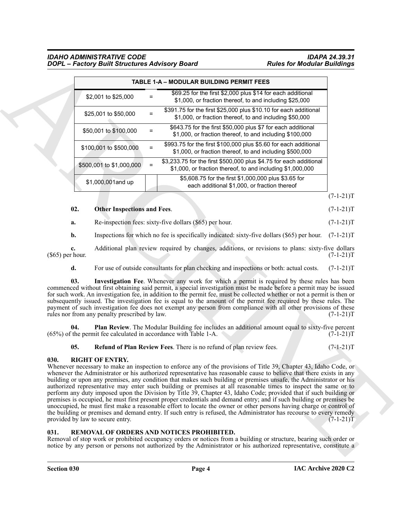#### *IDAHO ADMINISTRATIVE CODE IDAPA 24.39.31 DOPL – Factory Built Structures Advisory Board Rules for Modular Buildings*

|                                                                                                                                 | TABLE 1-A - MODULAR BUILDING PERMIT FEES                                                                                                                                                                                                                                                                                                                                                                                                                                                                                                                                                                                                                                                                                                                                                                                                                                                                                                                                      |                            |  |
|---------------------------------------------------------------------------------------------------------------------------------|-------------------------------------------------------------------------------------------------------------------------------------------------------------------------------------------------------------------------------------------------------------------------------------------------------------------------------------------------------------------------------------------------------------------------------------------------------------------------------------------------------------------------------------------------------------------------------------------------------------------------------------------------------------------------------------------------------------------------------------------------------------------------------------------------------------------------------------------------------------------------------------------------------------------------------------------------------------------------------|----------------------------|--|
| \$2,001 to \$25,000                                                                                                             | \$69.25 for the first \$2,000 plus \$14 for each additional<br>$=$<br>\$1,000, or fraction thereof, to and including \$25,000                                                                                                                                                                                                                                                                                                                                                                                                                                                                                                                                                                                                                                                                                                                                                                                                                                                 |                            |  |
| \$25,001 to \$50,000                                                                                                            | \$391.75 for the first \$25,000 plus \$10.10 for each additional<br>$\equiv$<br>\$1,000, or fraction thereof, to and including \$50,000                                                                                                                                                                                                                                                                                                                                                                                                                                                                                                                                                                                                                                                                                                                                                                                                                                       |                            |  |
| \$50,001 to \$100,000                                                                                                           | \$643.75 for the first \$50,000 plus \$7 for each additional<br>$=$<br>\$1,000, or fraction thereof, to and including \$100,000                                                                                                                                                                                                                                                                                                                                                                                                                                                                                                                                                                                                                                                                                                                                                                                                                                               |                            |  |
| \$100,001 to \$500,000                                                                                                          | \$993.75 for the first \$100,000 plus \$5.60 for each additional<br>$=$<br>\$1,000, or fraction thereof, to and including \$500,000                                                                                                                                                                                                                                                                                                                                                                                                                                                                                                                                                                                                                                                                                                                                                                                                                                           |                            |  |
| \$500,001 to \$1,000,000                                                                                                        | \$3,233.75 for the first \$500,000 plus \$4.75 for each additional<br>$\equiv$<br>\$1,000, or fraction thereof, to and including \$1,000,000                                                                                                                                                                                                                                                                                                                                                                                                                                                                                                                                                                                                                                                                                                                                                                                                                                  |                            |  |
| \$1,000,001 and up                                                                                                              | \$5,608.75 for the first \$1,000,000 plus \$3.65 for<br>each additional \$1,000, or fraction thereof                                                                                                                                                                                                                                                                                                                                                                                                                                                                                                                                                                                                                                                                                                                                                                                                                                                                          |                            |  |
|                                                                                                                                 |                                                                                                                                                                                                                                                                                                                                                                                                                                                                                                                                                                                                                                                                                                                                                                                                                                                                                                                                                                               | $(7-1-21)T$                |  |
| 02.<br><b>Other Inspections and Fees.</b>                                                                                       |                                                                                                                                                                                                                                                                                                                                                                                                                                                                                                                                                                                                                                                                                                                                                                                                                                                                                                                                                                               | $(7-1-21)T$                |  |
| a.                                                                                                                              | Re-inspection fees: sixty-five dollars (\$65) per hour.                                                                                                                                                                                                                                                                                                                                                                                                                                                                                                                                                                                                                                                                                                                                                                                                                                                                                                                       | $(7-1-21)T$                |  |
| b.                                                                                                                              | Inspections for which no fee is specifically indicated: sixty-five dollars (\$65) per hour.                                                                                                                                                                                                                                                                                                                                                                                                                                                                                                                                                                                                                                                                                                                                                                                                                                                                                   | $(7-1-21)T$                |  |
| c.<br>$(\$65)$ per hour.                                                                                                        | Additional plan review required by changes, additions, or revisions to plans: sixty-five dollars                                                                                                                                                                                                                                                                                                                                                                                                                                                                                                                                                                                                                                                                                                                                                                                                                                                                              | $(7-1-21)T$                |  |
| d.                                                                                                                              | For use of outside consultants for plan checking and inspections or both: actual costs.                                                                                                                                                                                                                                                                                                                                                                                                                                                                                                                                                                                                                                                                                                                                                                                                                                                                                       | $(7-1-21)T$                |  |
| 03.<br>rules nor from any penalty prescribed by law.<br>04.<br>(65%) of the permit fee calculated in accordance with Table 1-A. | Investigation Fee. Whenever any work for which a permit is required by these rules has been<br>commenced without first obtaining said permit, a special investigation must be made before a permit may be issued<br>for such work. An investigation fee, in addition to the permit fee, must be collected whether or not a permit is then or<br>subsequently issued. The investigation fee is equal to the amount of the permit fee required by these rules. The<br>payment of such investigation fee does not exempt any person from compliance with all other provisions of these<br>Plan Review. The Modular Building fee includes an additional amount equal to sixty-five percent                                                                                                                                                                                                                                                                                        | $(7-1-21)T$<br>$(7-1-21)T$ |  |
| 05.                                                                                                                             | Refund of Plan Review Fees. There is no refund of plan review fees.                                                                                                                                                                                                                                                                                                                                                                                                                                                                                                                                                                                                                                                                                                                                                                                                                                                                                                           | $(7-1-21)T$                |  |
| 030.<br><b>RIGHT OF ENTRY.</b><br>provided by law to secure entry.                                                              | Whenever necessary to make an inspection to enforce any of the provisions of Title 39, Chapter 43, Idaho Code, or<br>whenever the Administrator or his authorized representative has reasonable cause to believe that there exists in any<br>building or upon any premises, any condition that makes such building or premises unsafe, the Administrator or his<br>authorized representative may enter such building or premises at all reasonable times to inspect the same or to<br>perform any duty imposed upon the Division by Title 39, Chapter 43, Idaho Code; provided that if such building or<br>premises is occupied, he must first present proper credentials and demand entry; and if such building or premises be<br>unoccupied, he must first make a reasonable effort to locate the owner or other persons having charge or control of<br>the building or premises and demand entry. If such entry is refused, the Administrator has recourse to every remedy | $(7-1-21)T$                |  |
|                                                                                                                                 | REMOVAL OF ORDERS AND NOTICES PROHIBITED.                                                                                                                                                                                                                                                                                                                                                                                                                                                                                                                                                                                                                                                                                                                                                                                                                                                                                                                                     |                            |  |

#### <span id="page-3-3"></span><span id="page-3-2"></span>**02.** Other Inspections and Fees. (7-1-21)T

#### <span id="page-3-7"></span><span id="page-3-5"></span><span id="page-3-4"></span><span id="page-3-0"></span>**030. RIGHT OF ENTRY.**

#### <span id="page-3-6"></span><span id="page-3-1"></span>**031. REMOVAL OF ORDERS AND NOTICES PROHIBITED.**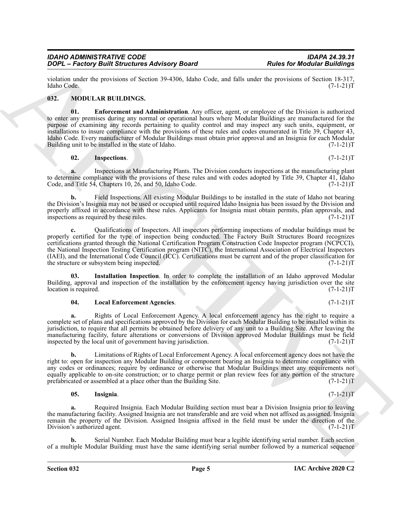violation under the provisions of Section 39-4306, Idaho Code, and falls under the provisions of Section 18-317, Idaho Code. (7-1-21)T

#### <span id="page-4-1"></span><span id="page-4-0"></span>**032. MODULAR BUILDINGS.**

<span id="page-4-2"></span>**01. Enforcement and Administration**. Any officer, agent, or employee of the Division is authorized to enter any premises during any normal or operational hours where Modular Buildings are manufactured for the purpose of examining any records pertaining to quality control and may inspect any such units, equipment, or installations to insure compliance with the provisions of these rules and codes enumerated in Title 39, Chapter 43, Idaho Code. Every manufacturer of Modular Buildings must obtain prior approval and an Insignia for each Modular Building unit to be installed in the state of Idaho.

#### <span id="page-4-4"></span>**02. Inspections**. (7-1-21)T

**a.** Inspections at Manufacturing Plants. The Division conducts inspections at the manufacturing plant to determine compliance with the provisions of these rules and with codes adopted by Title 39, Chapter 41, Idaho<br>Code, and Title 54, Chapters 10, 26, and 50, Idaho Code. (7-1-21) Code, and Title  $5\dot{4}$ , Chapters 10, 26, and 50, Idaho Code.

**b.** Field Inspections. All existing Modular Buildings to be installed in the state of Idaho not bearing the Division's Insignia may not be used or occupied until required Idaho Insignia has been issued by the Division and properly affixed in accordance with these rules. Applicants for Insignia must obtain permits, plan approvals, and inspections as required by these rules. inspections as required by these rules.

Follows the pression of School Section 2008<br>
The formula of Models for Models of Models in the state of Models of Models in the state of Models of Models in the state of Models of Models in the state of Models in the stat **c.** Qualifications of Inspectors. All inspectors performing inspections of modular buildings must be properly certified for the type of inspection being conducted. The Factory Built Structures Board recognizes certifications granted through the National Certification Program Construction Code Inspector program (NCPCCI), the National Inspection Testing Certification program (NITC), the International Association of Electrical Inspectors (IAEI), and the International Code Council (ICC). Certifications must be current and of the proper classification for the structure or subsystem being inspected. (7-1-21)T

**03. Installation Inspection**. In order to complete the installation of an Idaho approved Modular Building, approval and inspection of the installation by the enforcement agency having jurisdiction over the site location is required. (7-1-21) location is required.

#### <span id="page-4-6"></span><span id="page-4-5"></span>**04. Local Enforcement Agencies**. (7-1-21)T

**a.** Rights of Local Enforcement Agency. A local enforcement agency has the right to require a complete set of plans and specifications approved by the Division for each Modular Building to be installed within its jurisdiction, to require that all permits be obtained before delivery of any unit to a Building Site. After leaving the manufacturing facility, future alterations or conversions of Division approved Modular Buildings must be field<br>inspected by the local unit of government having jurisdiction. (7-1-21) inspected by the local unit of government having jurisdiction.

**b.** Limitations of Rights of Local Enforcement Agency. A local enforcement agency does not have the right to: open for inspection any Modular Building or component bearing an Insignia to determine compliance with any codes or ordinances; require by ordinance or otherwise that Modular Buildings meet any requirements not equally applicable to on-site construction; or to charge permit or plan review fees for any portion of the structure prefabricated or assembled at a place other than the Building Site. (7-1-21)T

#### <span id="page-4-3"></span>**05. Insignia**. (7-1-21)T

**a.** Required Insignia. Each Modular Building section must bear a Division Insignia prior to leaving the manufacturing facility. Assigned Insignia are not transferable and are void when not affixed as assigned. Insignia remain the property of the Division. Assigned Insignia affixed in the field must be under the direction of the Division's authorized agent. (7-1-21)T

**b.** Serial Number. Each Modular Building must bear a legible identifying serial number. Each section of a multiple Modular Building must have the same identifying serial number followed by a numerical sequence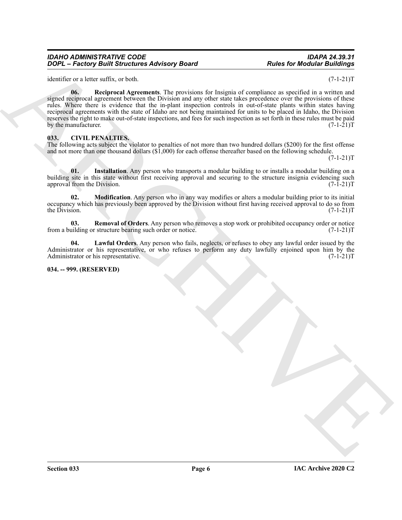#### *IDAHO ADMINISTRATIVE CODE IDAPA 24.39.31 DOPL – Factory Built Structures Advisory Board*

<span id="page-5-7"></span>identifier or a letter suffix, or both. (7-1-21)T

**EXECUTE CONTRACT CONTRACT CONTRACT ACCESS AND CONTRACT CONTRACT CONTRACT CONTRACT CONTRACT CONTRACT CONTRACT CONTRACT CONTRACT CONTRACT CONTRACT CONTRACT CONTRACT CONTRACT CONTRACT CONTRACT CONTRACT CONTRACT CONTRACT CON 06. Reciprocal Agreements**. The provisions for Insignia of compliance as specified in a written and signed reciprocal agreement between the Division and any other state takes precedence over the provisions of these rules. Where there is evidence that the in-plant inspection controls in out-of-state plants within states having reciprocal agreements with the state of Idaho are not being maintained for units to be placed in Idaho, the Division reserves the right to make out-of-state inspections, and fees for such inspection as set forth in these rules must be paid by the manufacturer.  $(7-1-21)T$ 

#### <span id="page-5-2"></span><span id="page-5-0"></span>**033. CIVIL PENALTIES.**

The following acts subject the violator to penalties of not more than two hundred dollars (\$200) for the first offense and not more than one thousand dollars (\$1,000) for each offense thereafter based on the following schedule.

 $(7-1-21)T$ 

<span id="page-5-3"></span>**01. Installation**. Any person who transports a modular building to or installs a modular building on a building site in this state without first receiving approval and securing to the structure insignia evidencing such approval from the Division. (7-1-21)T approval from the Division.

<span id="page-5-5"></span>**Modification.** Any person who in any way modifies or alters a modular building prior to its initial occupancy which has previously been approved by the Division without first having received approval to do so from<br>(7-1-21)T the Division.  $(7-1-21)T$ 

<span id="page-5-6"></span>**03.** Removal of Orders. Any person who removes a stop work or prohibited occupancy order or notice uilding or structure bearing such order or notice.  $(7-1-21)$ from a building or structure bearing such order or notice.

<span id="page-5-4"></span>**04. Lawful Orders**. Any person who fails, neglects, or refuses to obey any lawful order issued by the Administrator or his representative, or who refuses to perform any duty lawfully enjoined upon him by the Administrator or his representative. Administrator or his representative.

#### <span id="page-5-1"></span>**034. -- 999. (RESERVED)**